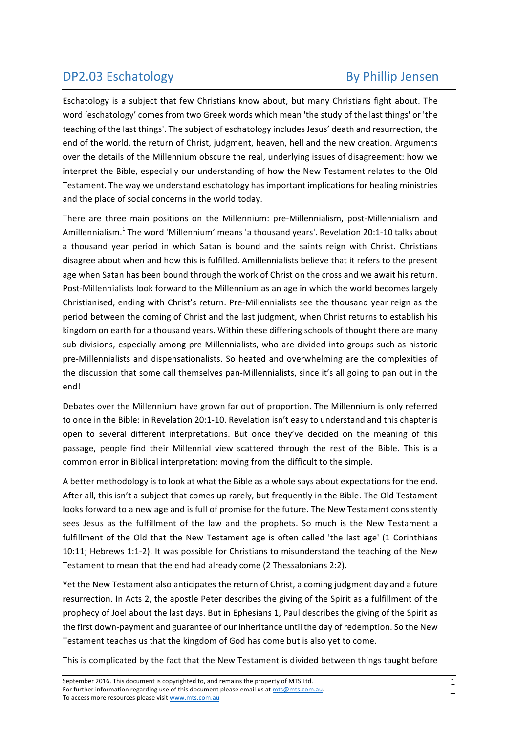## DP2.03 Eschatology By Phillip Jensen

Eschatology is a subject that few Christians know about, but many Christians fight about. The word 'eschatology' comes from two Greek words which mean 'the study of the last things' or 'the teaching of the last things'. The subject of eschatology includes Jesus' death and resurrection, the end of the world, the return of Christ, judgment, heaven, hell and the new creation. Arguments over the details of the Millennium obscure the real, underlying issues of disagreement: how we interpret the Bible, especially our understanding of how the New Testament relates to the Old Testament. The way we understand eschatology has important implications for healing ministries and the place of social concerns in the world today.

There are three main positions on the Millennium: pre-Millennialism, post-Millennialism and Amillennialism.<sup>1</sup> The word 'Millennium' means 'a thousand years'. Revelation 20:1-10 talks about a thousand year period in which Satan is bound and the saints reign with Christ. Christians disagree about when and how this is fulfilled. Amillennialists believe that it refers to the present age when Satan has been bound through the work of Christ on the cross and we await his return. Post-Millennialists look forward to the Millennium as an age in which the world becomes largely Christianised, ending with Christ's return. Pre-Millennialists see the thousand vear reign as the period between the coming of Christ and the last judgment, when Christ returns to establish his kingdom on earth for a thousand years. Within these differing schools of thought there are many sub-divisions, especially among pre-Millennialists, who are divided into groups such as historic pre-Millennialists and dispensationalists. So heated and overwhelming are the complexities of the discussion that some call themselves pan-Millennialists, since it's all going to pan out in the end! 

Debates over the Millennium have grown far out of proportion. The Millennium is only referred to once in the Bible: in Revelation 20:1-10. Revelation isn't easy to understand and this chapter is open to several different interpretations. But once they've decided on the meaning of this passage, people find their Millennial view scattered through the rest of the Bible. This is a common error in Biblical interpretation: moving from the difficult to the simple.

A better methodology is to look at what the Bible as a whole says about expectations for the end. After all, this isn't a subject that comes up rarely, but frequently in the Bible. The Old Testament looks forward to a new age and is full of promise for the future. The New Testament consistently sees Jesus as the fulfillment of the law and the prophets. So much is the New Testament a fulfillment of the Old that the New Testament age is often called 'the last age' (1 Corinthians 10:11; Hebrews 1:1-2). It was possible for Christians to misunderstand the teaching of the New Testament to mean that the end had already come (2 Thessalonians 2:2).

Yet the New Testament also anticipates the return of Christ, a coming judgment day and a future resurrection. In Acts 2, the apostle Peter describes the giving of the Spirit as a fulfillment of the prophecy of Joel about the last days. But in Ephesians 1, Paul describes the giving of the Spirit as the first down-payment and guarantee of our inheritance until the day of redemption. So the New Testament teaches us that the kingdom of God has come but is also yet to come.

This is complicated by the fact that the New Testament is divided between things taught before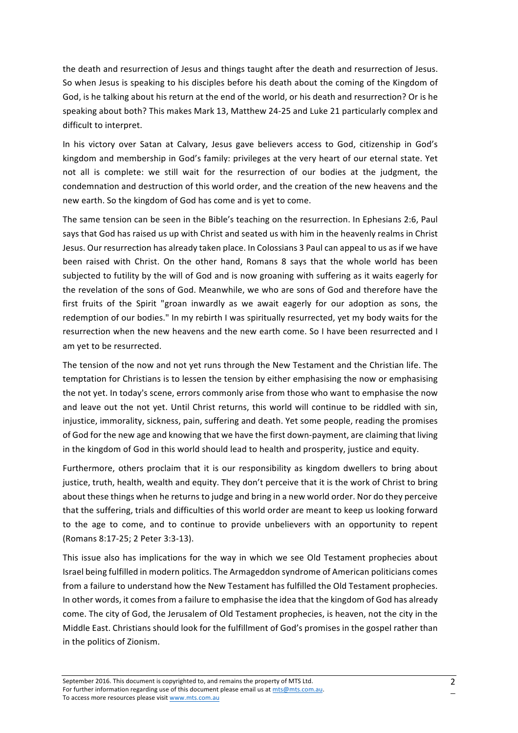the death and resurrection of Jesus and things taught after the death and resurrection of Jesus. So when Jesus is speaking to his disciples before his death about the coming of the Kingdom of God, is he talking about his return at the end of the world, or his death and resurrection? Or is he speaking about both? This makes Mark 13, Matthew 24-25 and Luke 21 particularly complex and difficult to interpret.

In his victory over Satan at Calvary, Jesus gave believers access to God, citizenship in God's kingdom and membership in God's family: privileges at the very heart of our eternal state. Yet not all is complete: we still wait for the resurrection of our bodies at the judgment, the condemnation and destruction of this world order, and the creation of the new heavens and the new earth. So the kingdom of God has come and is yet to come.

The same tension can be seen in the Bible's teaching on the resurrection. In Ephesians 2:6, Paul says that God has raised us up with Christ and seated us with him in the heavenly realms in Christ Jesus. Our resurrection has already taken place. In Colossians 3 Paul can appeal to us as if we have been raised with Christ. On the other hand, Romans 8 says that the whole world has been subjected to futility by the will of God and is now groaning with suffering as it waits eagerly for the revelation of the sons of God. Meanwhile, we who are sons of God and therefore have the first fruits of the Spirit "groan inwardly as we await eagerly for our adoption as sons, the redemption of our bodies." In my rebirth I was spiritually resurrected, yet my body waits for the resurrection when the new heavens and the new earth come. So I have been resurrected and I am yet to be resurrected.

The tension of the now and not yet runs through the New Testament and the Christian life. The temptation for Christians is to lessen the tension by either emphasising the now or emphasising the not yet. In today's scene, errors commonly arise from those who want to emphasise the now and leave out the not vet. Until Christ returns, this world will continue to be riddled with sin. injustice, immorality, sickness, pain, suffering and death. Yet some people, reading the promises of God for the new age and knowing that we have the first down-payment, are claiming that living in the kingdom of God in this world should lead to health and prosperity, justice and equity.

Furthermore, others proclaim that it is our responsibility as kingdom dwellers to bring about justice, truth, health, wealth and equity. They don't perceive that it is the work of Christ to bring about these things when he returns to judge and bring in a new world order. Nor do they perceive that the suffering, trials and difficulties of this world order are meant to keep us looking forward to the age to come, and to continue to provide unbelievers with an opportunity to repent (Romans 8:17-25; 2 Peter 3:3-13).

This issue also has implications for the way in which we see Old Testament prophecies about Israel being fulfilled in modern politics. The Armageddon syndrome of American politicians comes from a failure to understand how the New Testament has fulfilled the Old Testament prophecies. In other words, it comes from a failure to emphasise the idea that the kingdom of God has already come. The city of God, the Jerusalem of Old Testament prophecies, is heaven, not the city in the Middle East. Christians should look for the fulfillment of God's promises in the gospel rather than in the politics of Zionism.